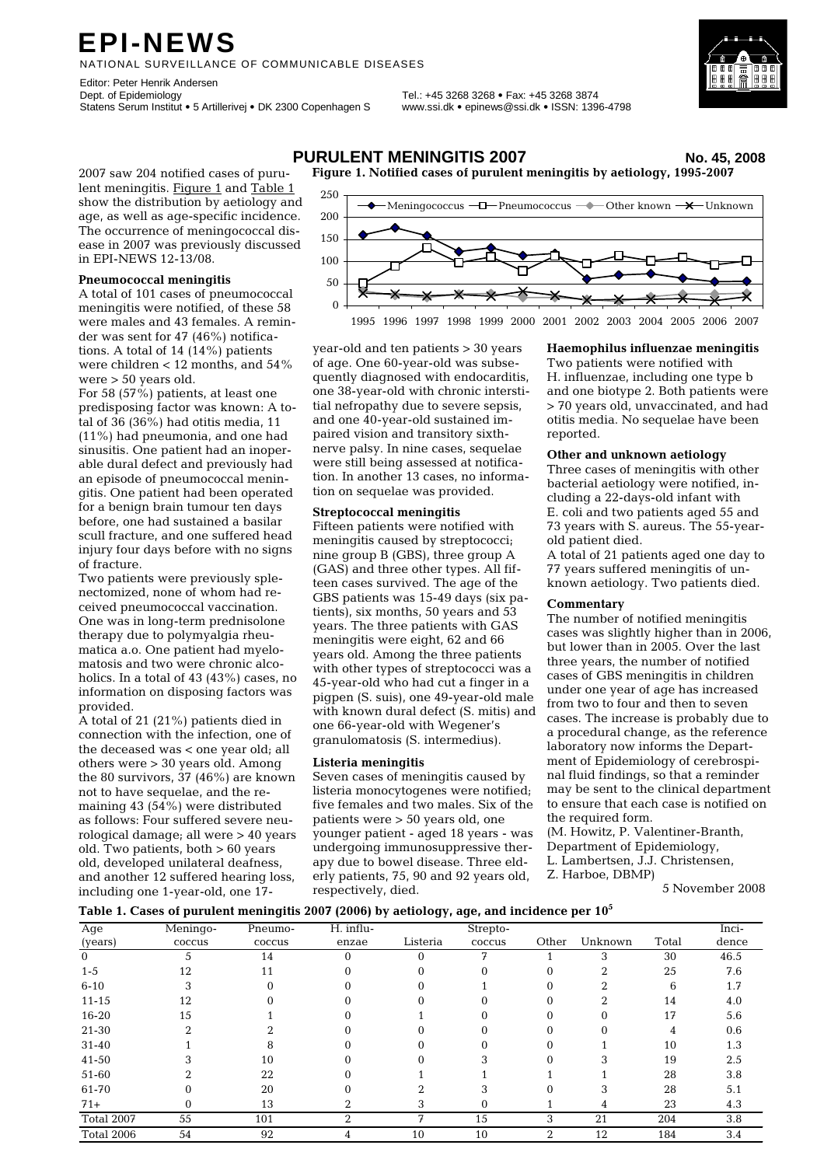# **EPI-NEWS**

NATIONAL SURVEILLANCE OF COMMUNICABLE DISEASES

Editor: Peter Henrik Andersen<br>Dept. of Epidemiology Statens Serum Institut • 5 Artillerivej • DK 2300 Copenhagen S www.ssi.dk • epinews@ssi.dk • ISSN: 1396-4798

Dept. of Epidemiology Tel.: +45 3268 3268 • Fax: +45 3268 3874



2007 saw 204 notified cases of purulent meningitis. Figure 1 and Table 1 show the distribution by aetiology and age, as well as age-specific incidence. The occurrence of meningococcal disease in 2007 was previously discussed in EPI-NEWS 12-13/08.

### **Pneumococcal meningitis**

A total of 101 cases of pneumococcal meningitis were notified, of these 58 were males and 43 females. A reminder was sent for 47 (46%) notifications. A total of 14 (14%) patients were children < 12 months, and 54% were > 50 years old.

For 58 (57%) patients, at least one predisposing factor was known: A total of 36 (36%) had otitis media, 11 (11%) had pneumonia, and one had sinusitis. One patient had an inoperable dural defect and previously had an episode of pneumococcal meningitis. One patient had been operated for a benign brain tumour ten days before, one had sustained a basilar scull fracture, and one suffered head injury four days before with no signs of fracture.

Two patients were previously splenectomized, none of whom had received pneumococcal vaccination. One was in long-term prednisolone therapy due to polymyalgia rheumatica a.o. One patient had myelomatosis and two were chronic alcoholics. In a total of 43 (43%) cases, no information on disposing factors was provided.

A total of 21 (21%) patients died in connection with the infection, one of the deceased was < one year old; all others were > 30 years old. Among the 80 survivors, 37 (46%) are known not to have sequelae, and the remaining 43 (54%) were distributed as follows: Four suffered severe neurological damage; all were > 40 years old. Two patients, both > 60 years old, developed unilateral deafness, and another 12 suffered hearing loss, including one 1-year-old, one 17-

## **PURULENT MENINGITIS 2007 No. 45, 2008**

**Figure 1. Notified cases of purulent meningitis by aetiology, 1995-2007** 



1995 1996 1997 1998 1999 2000 2001 2002 2003 2004 2005 2006 2007

year-old and ten patients > 30 years of age. One 60-year-old was subsequently diagnosed with endocarditis, one 38-year-old with chronic interstitial nefropathy due to severe sepsis, and one 40-year-old sustained impaired vision and transitory sixthnerve palsy. In nine cases, sequelae were still being assessed at notification. In another 13 cases, no information on sequelae was provided.

#### **Streptococcal meningitis**

Fifteen patients were notified with meningitis caused by streptococci; nine group B (GBS), three group A (GAS) and three other types. All fifteen cases survived. The age of the GBS patients was 15-49 days (six patients), six months, 50 years and 53 years. The three patients with GAS meningitis were eight, 62 and 66 years old. Among the three patients with other types of streptococci was a 45-year-old who had cut a finger in a pigpen (S. suis), one 49-year-old male with known dural defect (S. mitis) and one 66-year-old with Wegener's granulomatosis (S. intermedius).

#### **Listeria meningitis**

Seven cases of meningitis caused by listeria monocytogenes were notified; five females and two males. Six of the patients were > 50 years old, one younger patient - aged 18 years - was undergoing immunosuppressive therapy due to bowel disease. Three elderly patients, 75, 90 and 92 years old, respectively, died.

#### **Haemophilus influenzae meningitis**

Two patients were notified with H. influenzae, including one type b and one biotype 2. Both patients were > 70 years old, unvaccinated, and had otitis media. No sequelae have been reported.

#### **Other and unknown aetiology**

Three cases of meningitis with other bacterial aetiology were notified, including a 22-days-old infant with E. coli and two patients aged 55 and 73 years with S. aureus. The 55-yearold patient died.

A total of 21 patients aged one day to 77 years suffered meningitis of unknown aetiology. Two patients died.

#### **Commentary**

The number of notified meningitis cases was slightly higher than in 2006, but lower than in 2005. Over the last three years, the number of notified cases of GBS meningitis in children under one year of age has increased from two to four and then to seven cases. The increase is probably due to a procedural change, as the reference laboratory now informs the Department of Epidemiology of cerebrospinal fluid findings, so that a reminder may be sent to the clinical department to ensure that each case is notified on the required form.

(M. Howitz, P. Valentiner-Branth, Department of Epidemiology,

L. Lambertsen, J.J. Christensen,

Z. Harboe, DBMP)

5 November 2008

#### **Table 1. Cases of purulent meningitis 2007 (2006) by aetiology, age, and incidence per 105**

| Age        | Meningo- | Pneumo- | H. influ- |          | Strepto- |       |         |       | Inci- |
|------------|----------|---------|-----------|----------|----------|-------|---------|-------|-------|
| (years)    | coccus   | coccus  | enzae     | Listeria | coccus   | Other | Unknown | Total | dence |
| $\Omega$   | 5.       | 14      | 0         | 0        |          |       | 3       | 30    | 46.5  |
| $1 - 5$    | 12       | 11      |           |          |          |       | ∩       | 25    | 7.6   |
| $6 - 10$   |          |         |           |          |          |       |         | 6     | 1.7   |
| $11 - 15$  | 12       |         |           |          |          |       |         | 14    | 4.0   |
| 16-20      | 15       |         |           |          |          |       | ∩       | 17    | 5.6   |
| 21-30      |          |         |           |          |          |       |         |       | 0.6   |
| 31-40      |          |         |           |          |          |       |         | 10    | 1.3   |
| 41-50      |          | 10      |           |          |          |       |         | 19    | 2.5   |
| 51-60      |          | 22      |           |          |          |       |         | 28    | 3.8   |
| 61-70      |          | 20      |           |          |          |       |         | 28    | 5.1   |
| $71+$      |          | 13      |           |          |          |       | 4       | 23    | 4.3   |
| Total 2007 | 55       | 101     | C         | 7        | 15       | 3     | 21      | 204   | 3.8   |
| Total 2006 | 54       | 92      | 4         | 10       | 10       | 2     | 12      | 184   | 3.4   |